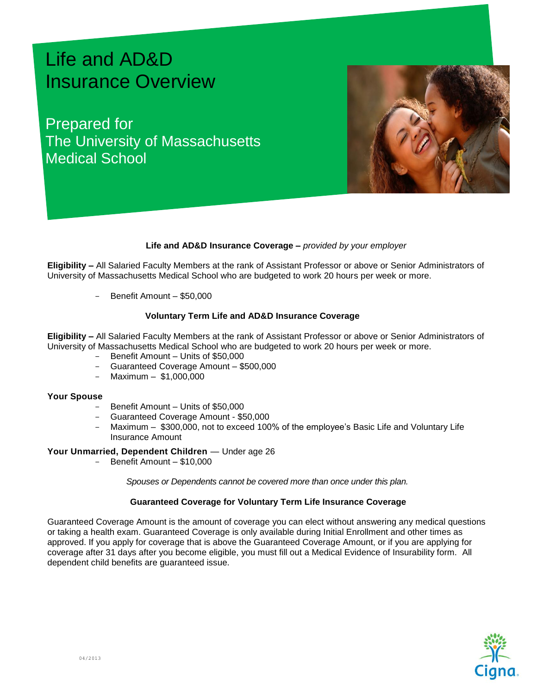# Life and AD&D Insurance Overview

Prepared for The University of Massachusetts Medical School



## **Life and AD&D Insurance Coverage –** *provided by your employer*

**Eligibility –** All Salaried Faculty Members at the rank of Assistant Professor or above or Senior Administrators of University of Massachusetts Medical School who are budgeted to work 20 hours per week or more.

Benefit Amount – \$50,000

### **Voluntary Term Life and AD&D Insurance Coverage**

**Eligibility –** All Salaried Faculty Members at the rank of Assistant Professor or above or Senior Administrators of University of Massachusetts Medical School who are budgeted to work 20 hours per week or more.

- Benefit Amount Units of \$50,000
- Guaranteed Coverage Amount \$500,000
- Maximum \$1,000,000

#### **Your Spouse**

- Benefit Amount Units of \$50,000
- Guaranteed Coverage Amount \$50,000
- Maximum \$300,000, not to exceed 100% of the employee's Basic Life and Voluntary Life Insurance Amount

#### **Your Unmarried, Dependent Children** *—* Under age 26

Benefit Amount – \$10,000

*Spouses or Dependents cannot be covered more than once under this plan.*

## **Guaranteed Coverage for Voluntary Term Life Insurance Coverage**

Guaranteed Coverage Amount is the amount of coverage you can elect without answering any medical questions or taking a health exam. Guaranteed Coverage is only available during Initial Enrollment and other times as approved. If you apply for coverage that is above the Guaranteed Coverage Amount, or if you are applying for coverage after 31 days after you become eligible, you must fill out a Medical Evidence of Insurability form. All dependent child benefits are guaranteed issue.

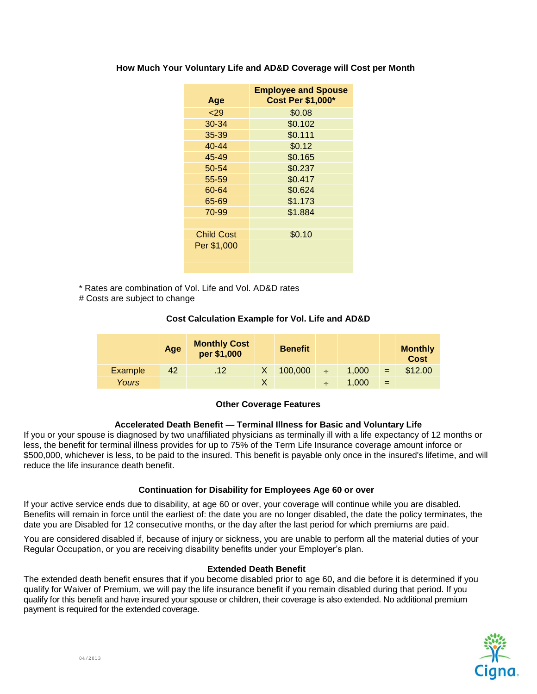|                   | <b>Employee and Spouse</b> |
|-------------------|----------------------------|
| Age               | <b>Cost Per \$1,000*</b>   |
| 29                | \$0.08                     |
| 30-34             | \$0.102                    |
| 35-39             | \$0.111                    |
| $40 - 44$         | \$0.12                     |
| 45-49             | \$0.165                    |
| 50-54             | \$0.237                    |
| 55-59             | \$0.417                    |
| 60-64             | \$0.624                    |
| 65-69             | \$1.173                    |
| 70-99             | \$1.884                    |
|                   |                            |
| <b>Child Cost</b> | \$0.10                     |
| Per \$1,000       |                            |
|                   |                            |
|                   |                            |

## **How Much Your Voluntary Life and AD&D Coverage will Cost per Month**

\* Rates are combination of Vol. Life and Vol. AD&D rates

# Costs are subject to change

# **Cost Calculation Example for Vol. Life and AD&D**

|                | Age | <b>Monthly Cost</b><br>per \$1,000 | <b>Benefit</b> |        |       |     | <b>Monthly</b><br><b>Cost</b> |
|----------------|-----|------------------------------------|----------------|--------|-------|-----|-------------------------------|
| <b>Example</b> | 42  | .12 <sub>7</sub>                   | 100,000        | $\div$ | 1.000 | $=$ | \$12.00                       |
| Yours          |     |                                    |                |        | 1,000 | =   |                               |

# **Other Coverage Features**

# **Accelerated Death Benefit — Terminal Illness for Basic and Voluntary Life**

If you or your spouse is diagnosed by two unaffiliated physicians as terminally ill with a life expectancy of 12 months or less, the benefit for terminal illness provides for up to 75% of the Term Life Insurance coverage amount inforce or \$500,000, whichever is less, to be paid to the insured. This benefit is payable only once in the insured's lifetime, and will reduce the life insurance death benefit.

# **Continuation for Disability for Employees Age 60 or over**

If your active service ends due to disability, at age 60 or over, your coverage will continue while you are disabled. Benefits will remain in force until the earliest of: the date you are no longer disabled, the date the policy terminates, the date you are Disabled for 12 consecutive months, or the day after the last period for which premiums are paid.

You are considered disabled if, because of injury or sickness, you are unable to perform all the material duties of your Regular Occupation, or you are receiving disability benefits under your Employer's plan.

## **Extended Death Benefit**

The extended death benefit ensures that if you become disabled prior to age 60, and die before it is determined if you qualify for Waiver of Premium, we will pay the life insurance benefit if you remain disabled during that period. If you qualify for this benefit and have insured your spouse or children, their coverage is also extended. No additional premium payment is required for the extended coverage.

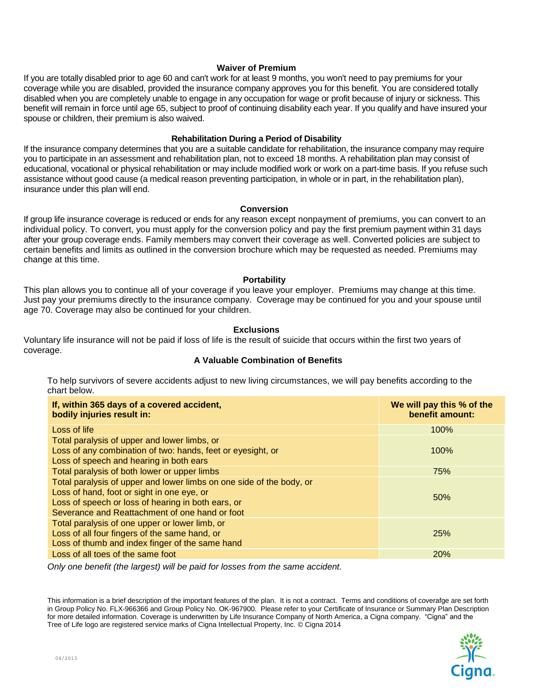## **Waiver of Premium**

If you are totally disabled prior to age 60 and can't work for at least 9 months, you won't need to pay premiums for your coverage while you are disabled, provided the insurance company approves you for this benefit. You are considered totally disabled when you are completely unable to engage in any occupation for wage or profit because of injury or sickness. This benefit will remain in force until age 65, subject to proof of continuing disability each year. If you qualify and have insured your spouse or children, their premium is also waived.

## **Rehabilitation During a Period of Disability**

If the insurance company determines that you are a suitable candidate for rehabilitation, the insurance company may require you to participate in an assessment and rehabilitation plan, not to exceed 18 months. A rehabilitation plan may consist of educational, vocational or physical rehabilitation or may include modified work or work on a part-time basis. If you refuse such assistance without good cause (a medical reason preventing participation, in whole or in part, in the rehabilitation plan), insurance under this plan will end.

#### **Conversion**

If group life insurance coverage is reduced or ends for any reason except nonpayment of premiums, you can convert to an individual policy. To convert, you must apply for the conversion policy and pay the first premium payment within 31 days after your group coverage ends. Family members may convert their coverage as well. Converted policies are subject to certain benefits and limits as outlined in the conversion brochure which may be requested as needed. Premiums may change at this time.

## **Portability**

This plan allows you to continue all of your coverage if you leave your employer. Premiums may change at this time. Just pay your premiums directly to the insurance company. Coverage may be continued for you and your spouse until age 70. Coverage may also be continued for your children.

## **Exclusions**

Voluntary life insurance will not be paid if loss of life is the result of suicide that occurs within the first two years of coverage.

## **A Valuable Combination of Benefits**

To help survivors of severe accidents adjust to new living circumstances, we will pay benefits according to the chart below.

| If, within 365 days of a covered accident,<br>bodily injuries result in:                                                                                                                                                   | We will pay this % of the<br>benefit amount: |  |  |  |
|----------------------------------------------------------------------------------------------------------------------------------------------------------------------------------------------------------------------------|----------------------------------------------|--|--|--|
| Loss of life                                                                                                                                                                                                               | 100%                                         |  |  |  |
| Total paralysis of upper and lower limbs, or<br>Loss of any combination of two: hands, feet or eyesight, or<br>Loss of speech and hearing in both ears                                                                     | 100%                                         |  |  |  |
| Total paralysis of both lower or upper limbs                                                                                                                                                                               | 75%                                          |  |  |  |
| Total paralysis of upper and lower limbs on one side of the body, or<br>Loss of hand, foot or sight in one eye, or<br>Loss of speech or loss of hearing in both ears, or<br>Severance and Reattachment of one hand or foot | 50%                                          |  |  |  |
| Total paralysis of one upper or lower limb, or<br>Loss of all four fingers of the same hand, or<br>Loss of thumb and index finger of the same hand                                                                         | <b>25%</b>                                   |  |  |  |
| Loss of all toes of the same foot                                                                                                                                                                                          | <b>20%</b>                                   |  |  |  |

*Only one benefit (the largest) will be paid for losses from the same accident.*

This information is a brief description of the important features of the plan. It is not a contract. Terms and conditions of coverafge are set forth in Group Policy No. FLX-966366 and Group Policy No. OK-967900. Please refer to your Certificate of Insurance or Summary Plan Description for more detailed information. Coverage is underwritten by Life Insurance Company of North America, a Cigna company. "Cigna" and the Tree of Life logo are registered service marks of Cigna Intellectual Property, Inc. © Cigna 2014

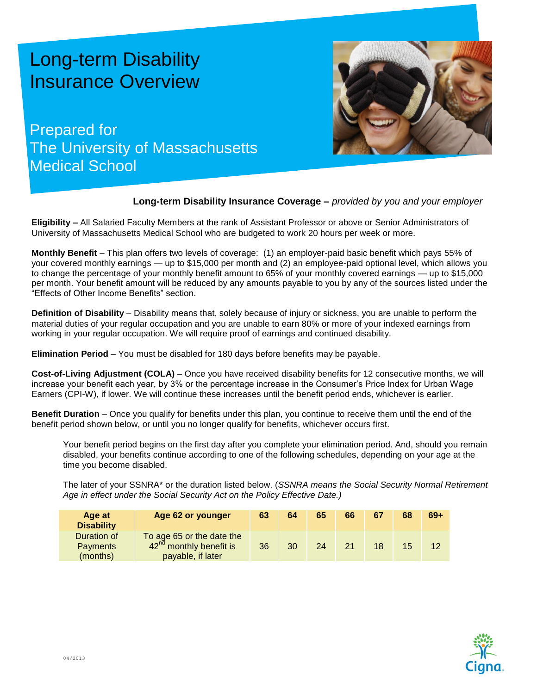# Long-term Disability Insurance Overview

Prepared for The University of Massachusetts Medical School



# **Long-term Disability Insurance Coverage –** *provided by you and your employer*

**Eligibility –** All Salaried Faculty Members at the rank of Assistant Professor or above or Senior Administrators of University of Massachusetts Medical School who are budgeted to work 20 hours per week or more.

**Monthly Benefit** – This plan offers two levels of coverage: (1) an employer-paid basic benefit which pays 55% of your covered monthly earnings — up to \$15,000 per month and (2) an employee-paid optional level, which allows you to change the percentage of your monthly benefit amount to 65% of your monthly covered earnings — up to \$15,000 per month. Your benefit amount will be reduced by any amounts payable to you by any of the sources listed under the "Effects of Other Income Benefits" section.

**Definition of Disability** – Disability means that, solely because of injury or sickness, you are unable to perform the material duties of your regular occupation and you are unable to earn 80% or more of your indexed earnings from working in your regular occupation. We will require proof of earnings and continued disability.

**Elimination Period** – You must be disabled for 180 days before benefits may be payable.

**Cost-of-Living Adjustment (COLA)** – Once you have received disability benefits for 12 consecutive months, we will increase your benefit each year, by 3% or the percentage increase in the Consumer's Price Index for Urban Wage Earners (CPI-W), if lower. We will continue these increases until the benefit period ends, whichever is earlier.

**Benefit Duration** – Once you qualify for benefits under this plan, you continue to receive them until the end of the benefit period shown below, or until you no longer qualify for benefits, whichever occurs first.

Your benefit period begins on the first day after you complete your elimination period. And, should you remain disabled, your benefits continue according to one of the following schedules, depending on your age at the time you become disabled.

The later of your SSNRA\* or the duration listed below. (*SSNRA means the Social Security Normal Retirement Age in effect under the Social Security Act on the Policy Effective Date.)*

| Age at<br><b>Disability</b>                | Age 62 or younger                                                                     | 63 | 64 | 65 | 66 | 67 | 68 | $69+$ |
|--------------------------------------------|---------------------------------------------------------------------------------------|----|----|----|----|----|----|-------|
| Duration of<br><b>Payments</b><br>(months) | To age 65 or the date the<br>42 <sup>nd</sup> monthly benefit is<br>payable, if later | 36 | 30 | 24 | 21 | 18 | 15 | 12    |